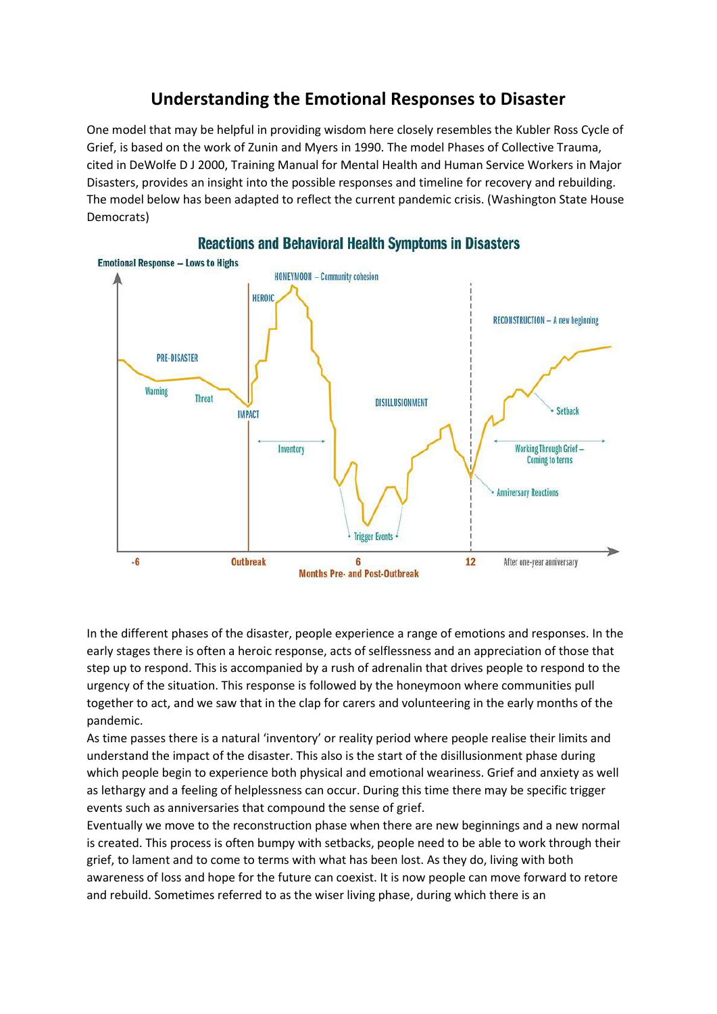## **Understanding the Emotional Responses to Disaster**

One model that may be helpful in providing wisdom here closely resembles the Kubler Ross Cycle of Grief, is based on the work of Zunin and Myers in 1990. The model Phases of Collective Trauma, cited in DeWolfe D J 2000, Training Manual for Mental Health and Human Service Workers in Major Disasters, provides an insight into the possible responses and timeline for recovery and rebuilding. The model below has been adapted to reflect the current pandemic crisis. (Washington State House Democrats)



**Reactions and Behavioral Health Symptoms in Disasters** 

In the different phases of the disaster, people experience a range of emotions and responses. In the early stages there is often a heroic response, acts of selflessness and an appreciation of those that step up to respond. This is accompanied by a rush of adrenalin that drives people to respond to the urgency of the situation. This response is followed by the honeymoon where communities pull together to act, and we saw that in the clap for carers and volunteering in the early months of the pandemic.

As time passes there is a natural 'inventory' or reality period where people realise their limits and understand the impact of the disaster. This also is the start of the disillusionment phase during which people begin to experience both physical and emotional weariness. Grief and anxiety as well as lethargy and a feeling of helplessness can occur. During this time there may be specific trigger events such as anniversaries that compound the sense of grief.

Eventually we move to the reconstruction phase when there are new beginnings and a new normal is created. This process is often bumpy with setbacks, people need to be able to work through their grief, to lament and to come to terms with what has been lost. As they do, living with both awareness of loss and hope for the future can coexist. It is now people can move forward to retore and rebuild. Sometimes referred to as the wiser living phase, during which there is an